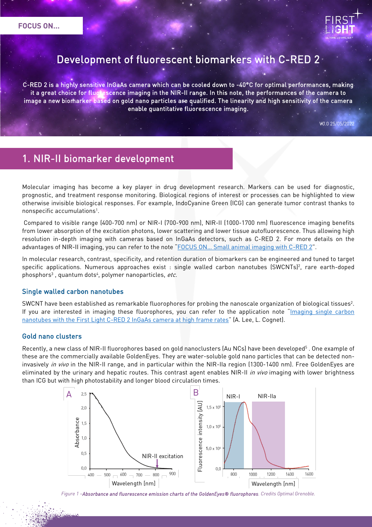

# Development of fluorescent biomarkers with C-RED 2

C-RED 2 is a highly sensitive InGaAs camera which can be cooled down to -40°C for optimal performances, making it a great choice for fluorescence imaging in the NIR-II range. In this note, the performances of the camera to image a new biomarker based on gold nano particles are qualified. The linearity and high sensitivity of the camera enable quantitative fluorescence imaging.

V0.0 25/05/2022

# 1. NIR-II biomarker development

Molecular imaging has become a key player in drug development research. Markers can be used for diagnostic, prognostic, and treatment response monitoring. Biological regions of interest or processes can be highlighted to view otherwise invisible biological responses. For example, IndoCyanine Green (ICG) can generate tumor contrast thanks to nonspecific accumulations1.

Compared to visible range (400-700 nm) or NIR-I (700-900 nm), NIR-II (1000-1700 nm) fluorescence imaging benefits from lower absorption of the excitation photons, lower scattering and lower tissue autofluorescence. Thus allowing high resolution in-depth imaging with cameras based on InGaAs detectors, such as C-RED 2. For more details on the advantages of NIR-II imaging, you can refer to the note ["FOCUS ON… Small animal imaging with C-RED 2"](https://www.first-light-imaging.com/wp-content/uploads/2020/09/FOCUS_SmallAnimalImaging_v4-1.pdf).

In molecular research, contrast, specificity, and retention duration of biomarkers can be engineered and tuned to target specific applications. Numerous approaches exist : single walled carbon nanotubes (SWCNTs)<sup>2</sup>, rare earth-doped phosphors<sup>3</sup>, quantum dots<sup>4</sup>, polymer nanoparticles, etc.

#### Single walled carbon nanotubes

SWCNT have been established as remarkable fluorophores for probing the nanoscale organization of biological tissues<sup>2</sup>. If you are interested in imaging these fluorophores, you can refer to the application note ["Imaging single carbon](https://www.first-light-imaging.com/wp-content/uploads/2019/10/manuscript_Firstlight_L.CognetA.Lee_UnivBordeauxInstitutOptique.pdf)  nanotubes with the First [Light C-RED 2 InGaAs camera at high frame rates"](https://www.first-light-imaging.com/wp-content/uploads/2019/10/manuscript_Firstlight_L.CognetA.Lee_UnivBordeauxInstitutOptique.pdf) (A. Lee, L. Cognet).

#### Gold nano clusters

Recently, a new class of NIR-II fluorophores based on gold nanoclusters (Au NCs) have been developed<sup>5</sup>. One example of these are the commercially available GoldenEyes. They are water-soluble gold nano particles that can be detected noninvasively in vivo in the NIR-II range, and in particular within the NIR-IIa region (1300-1400 nm). Free GoldenEyes are eliminated by the urinary and hepatic routes. This contrast agent enables NIR-II in vivo imaging with lower brightness than ICG but with high photostability and longer blood circulation times.



*Figure 1 –Absorbance and fluorescence emission charts of the GoldenEyes® fluorophores. Credits Optimal Grenoble.*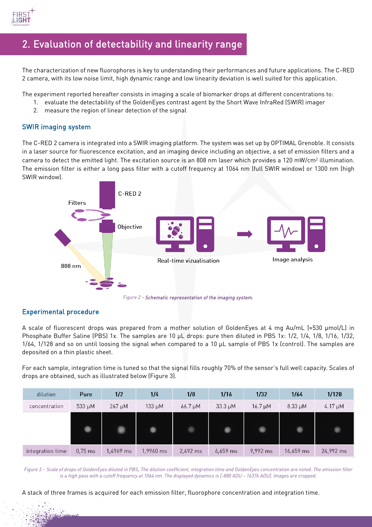

## 2. Evaluation of detectability and linearity range

The characterization of new fluorophores is key to understanding their performances and future applications. The C-RED 2 camera, with its low noise limit, high dynamic range and low linearity deviation is well suited for this application.

The experiment reported hereafter consists in imaging a scale of biomarker drops at different concentrations to:

- 1. evaluate the detectability of the GoldenEyes contrast agent by the Short Wave InfraRed (SWIR) imager
	- 2. measure the region of linear detection of the signal

### SWIR imaging system

The C-RED 2 camera is integrated into a SWIR imaging platform. The system was set up by OPTIMAL Grenoble. It consists in a laser source for fluorescence excitation, and an imaging device including an objective, a set of emission filters and a camera to detect the emitted light. The excitation source is an 808 nm laser which provides a 120 mW/cm2 illumination. The emission filter is either a long pass filter with a cutoff frequency at 1064 nm (full SWIR window) or 1300 nm (high SWIR window).



### Experimental procedure

A scale of fluorescent drops was prepared from a mother solution of GoldenEyes at 4 mg Au/mL (≈530 μmol/L) in Phosphate Buffer Saline (PBS) 1x. The samples are 10 µL drops: pure then diluted in PBS 1x: 1/2, 1/4, 1/8, 1/16, 1/32, 1/64, 1/128 and so on until loosing the signal when compared to a 10 µL sample of PBS 1x (control). The samples are deposited on a thin plastic sheet.

For each sample, integration time is tuned so that the signal fills roughly 70% of the sensor's full well capacity. Scales of drops are obtained, such as illustrated below (Figure 3).

| dilution         | Pure              | 1/2         | 1/4       | 1/8          | 1/16         | 1/32         | 1/64         | 1/128        |
|------------------|-------------------|-------------|-----------|--------------|--------------|--------------|--------------|--------------|
| concentration    | 533 $\mu$ M       | $267 \mu M$ | 133 µM    | $66.7 \mu M$ | $33.3 \mu M$ | $16.7 \mu M$ | $8.33 \mu M$ | 4.17 $\mu$ M |
|                  |                   |             |           | ٠            |              | œ            |              |              |
| integration time | $0,75 \text{ ms}$ | 1,4969 ms   | 1,9960 ms | 2,492 ms     | $6,659$ ms   | 9,992 ms     | 16,659 ms    | 24,992 ms    |

*Figure 3 – Scale of drops of GoldenEyes diluted in PBS. The dilution coefficient, integration time and GoldenEyes concentration are noted. The emission filter is a high pass with a cutoff frequency at 1064 nm. The displayed dynamics is [-880 ADU – 16376 ADU]. Images are cropped.* 

A stack of three frames is acquired for each emission filter, fluorophore concentration and integration time.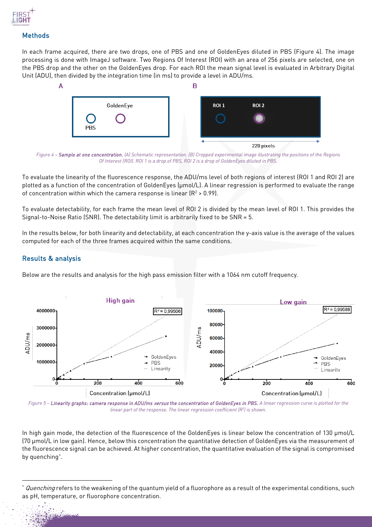

### **Methods**

In each frame acquired, there are two drops, one of PBS and one of GoldenEyes diluted in PBS (Figure 4). The image processing is done with ImageJ software. Two Regions Of Interest (ROI) with an area of 256 pixels are selected, one on the PBS drop and the other on the GoldenEyes drop. For each ROI the mean signal level is evaluated in Arbitrary Digital Unit (ADU), then divided by the integration time (in ms) to provide a level in ADU/ms.



*Figure 4 – Sample at one concentration. (A) Schematic representation. (B) Cropped experimental image illustrating the positions of the Regions Of Interest (ROI). ROI 1 is a drop of PBS, ROI 2 is a drop of GoldenEyes diluted in PBS.* 

To evaluate the linearity of the fluorescence response, the ADU/ms level of both regions of interest (ROI 1 and ROI 2) are plotted as a function of the concentration of GoldenEyes (µmol/L). A linear regression is performed to evaluate the range of concentration within which the camera response is linear  $(R^2 > 0.99)$ .

To evaluate detectability, for each frame the mean level of ROI 2 is divided by the mean level of ROI 1. This provides the Signal-to-Noise Ratio (SNR). The detectability limit is arbitrarily fixed to be SNR = 5.

In the results below, for both linearity and detectability, at each concentration the y-axis value is the average of the values computed for each of the three frames acquired within the same conditions.

### Results & analysis

Below are the results and analysis for the high pass emission filter with a 1064 nm cutoff frequency.



Figure 5 - Linearity graphs: camera response in ADU/ms versus the concentration of GoldenEyes in PBS. A linear regression curve is plotted for the *linear part of the response. The linear regression coefficient (R2 ) is shown.*

In high gain mode, the detection of the fluorescence of the GoldenEyes is linear below the concentration of 130 μmol/L (70 μmol/L in low gain). Hence, below this concentration the quantitative detection of GoldenEyes via the measurement of the fluorescence signal can be achieved. At higher concentration, the quantitative evaluation of the signal is compromised by quenching[\\*](#page-2-0) .

<span id="page-2-0"></span>Quenching refers to the weakening of the quantum yield of a fluorophore as a result of the experimental conditions, such as pH, temperature, or fluorophore concentration.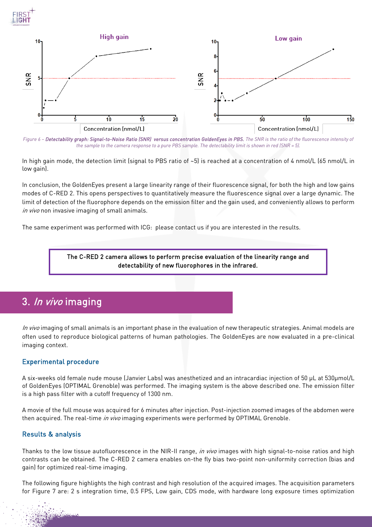



Figure 6 - Detectability graph: Signal-to-Noise Ratio (SNR) versus concentration GoldenEyes in PBS. The SNR is the ratio of the fluorescence intensity of *the sample to the camera response to a pure PBS sample. The detectability limit is shown in red (SNR = 5).* 

In high gain mode, the detection limit (signal to PBS ratio of ~5) is reached at a concentration of 4 nmol/L (65 nmol/L in low gain).

In conclusion, the GoldenEyes present a large linearity range of their fluorescence signal, for both the high and low gains modes of C-RED 2. This opens perspectives to quantitatively measure the fluorescence signal over a large dynamic. The limit of detection of the fluorophore depends on the emission filter and the gain used, and conveniently allows to perform in vivo non invasive imaging of small animals.

The same experiment was performed with ICG: please contact us if you are interested in the results.

#### The C-RED 2 camera allows to perform precise evaluation of the linearity range and detectability of new fluorophores in the infrared.

## 3. In vivo imaging

In vivo imaging of small animals is an important phase in the evaluation of new therapeutic strategies. Animal models are often used to reproduce biological patterns of human pathologies. The GoldenEyes are now evaluated in a pre-clinical imaging context.

#### Experimental procedure

A six-weeks old female nude mouse (Janvier Labs) was anesthetized and an intracardiac injection of 50 µL at 530µmol/L of GoldenEyes (OPTIMAL Grenoble) was performed. The imaging system is the above described one. The emission filter is a high pass filter with a cutoff frequency of 1300 nm.

A movie of the full mouse was acquired for 6 minutes after injection. Post-injection zoomed images of the abdomen were then acquired. The real-time in vivo imaging experiments were performed by OPTIMAL Grenoble.

### Results & analysis

Thanks to the low tissue autofluorescence in the NIR-II range, *in vivo* images with high signal-to-noise ratios and high contrasts can be obtained. The C-RED 2 camera enables on-the fly bias two-point non-uniformity correction (bias and gain) for optimized real-time imaging.

The following figure highlights the high contrast and high resolution of the acquired images. The acquisition parameters for Figure 7 are: 2 s integration time, 0.5 FPS, Low gain, CDS mode, with hardware long exposure times optimization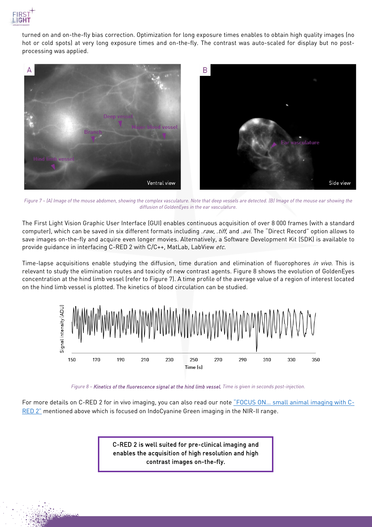

turned on and on-the-fly bias correction. Optimization for long exposure times enables to obtain high quality images (no hot or cold spots) at very long exposure times and on-the-fly. The contrast was auto-scaled for display but no postprocessing was applied.



*Figure 7 – (A) Image of the mouse abdomen, showing the complex vasculature. Note that deep vessels are detected. (B) Image of the mouse ear showing the diffusion of GoldenEyes in the ear vasculature.* 

The First Light Vision Graphic User Interface (GUI) enables continuous acquisition of over 8 000 frames (with a standard computer), which can be saved in six different formats including .raw, .tiff, and .avi. The "Direct Record" option allows to save images on-the-fly and acquire even longer movies. Alternatively, a Software Development Kit (SDK) is available to provide quidance in interfacing C-RED 2 with C/C++, MatLab, LabView etc.

Time-lapse acquisitions enable studying the diffusion, time duration and elimination of fluorophores in vivo. This is relevant to study the elimination routes and toxicity of new contrast agents. Figure 8 shows the evolution of GoldenEyes concentration at the hind limb vessel (refer to Figure 7). A time profile of the average value of a region of interest located on the hind limb vessel is plotted. The kinetics of blood circulation can be studied.



*Figure 8 – Kinetics of the fluorescence signal at the hind limb vessel. Time is given in seconds post-injection.* 

For more details on C-RED 2 for in vivo imaging, you can also read our note "FOCUS ON... small animal imaging with C-[RED 2"](https://www.first-light-imaging.com/wp-content/uploads/2020/09/FOCUS_SmallAnimalImaging_v4-1.pdf) mentioned above which is focused on IndoCyanine Green imaging in the NIR-II range.

> C-RED 2 is well suited for pre-clinical imaging and enables the acquisition of high resolution and high contrast images on-the-fly.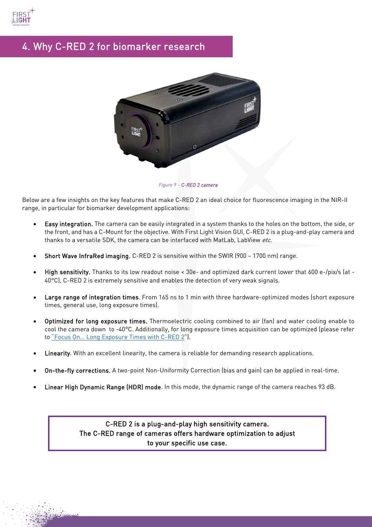

# 4. Why C-RED 2 for biomarker research



*Figure 9 – C-RED 2 camera* 

Below are a few insights on the key features that make C-RED 2 an ideal choice for fluorescence imaging in the NIR-II range, in particular for biomarker development applications:

- Easy integration. The camera can be easily integrated in a system thanks to the holes on the bottom, the side, or the front, and has a C-Mount for the objective. With First Light Vision GUI, C-RED 2 is a plug-and-play camera and thanks to a versatile SDK, the camera can be interfaced with MatLab, LabView etc.
- Short Wave InfraRed imaging. C-RED 2 is sensitive within the SWIR (900 1700 nm) range.
- High sensitivity. Thanks to its low readout noise < 30e- and optimized dark current lower that 600 e-/pix/s (at 40°C), C-RED 2 is extremely sensitive and enables the detection of very weak signals.
- Large range of integration times. From 165 ns to 1 min with three hardware-optimized modes (short exposure times, general use, long exposure times).
- Optimized for long exposure times. Thermoelectric cooling combined to air (fan) and water cooling enable to cool the camera down to -40°C. Additionally, for long exposure times acquisition can be optimized (please refer t[o "Focus On… Long Exposure Times with C-RED 2"](https://www.first-light-imaging.com/wp-content/uploads/2020/06/FOCUS_Long-Exposures-times_200526.pdf)).
- Linearity. With an excellent linearity, the camera is reliable for demanding research applications.
- On-the-fly corrections. A two-point Non-Uniformity Correction (bias and gain) can be applied in real-time.
- Linear High Dynamic Range (HDR) mode. In this mode, the dynamic range of the camera reaches 93 dB.

C-RED 2 is a plug-and-play high sensitivity camera. The C-RED range of cameras offers hardware optimization to adjust to your specific use case.